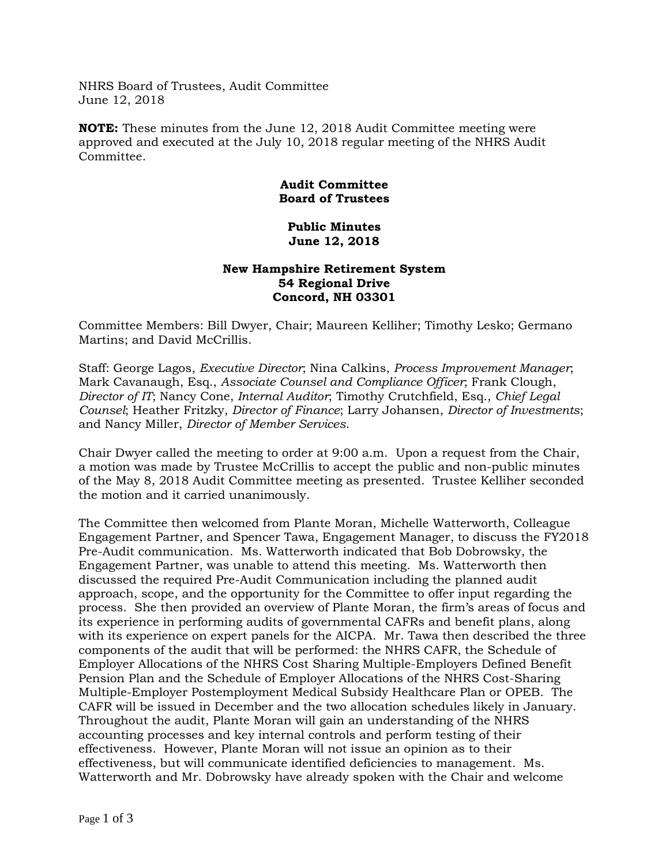NHRS Board of Trustees, Audit Committee June 12, 2018

**NOTE:** These minutes from the June 12, 2018 Audit Committee meeting were approved and executed at the July 10, 2018 regular meeting of the NHRS Audit Committee.

## **Audit Committee Board of Trustees**

## **Public Minutes June 12, 2018**

## **New Hampshire Retirement System 54 Regional Drive Concord, NH 03301**

Committee Members: Bill Dwyer, Chair; Maureen Kelliher; Timothy Lesko; Germano Martins; and David McCrillis.

Staff: George Lagos, *Executive Director*; Nina Calkins, *Process Improvement Manager*; Mark Cavanaugh, Esq., *Associate Counsel and Compliance Officer*; Frank Clough, *Director of IT*; Nancy Cone, *Internal Auditor*; Timothy Crutchfield, Esq., *Chief Legal Counsel*; Heather Fritzky, *Director of Finance*; Larry Johansen, *Director of Investments*; and Nancy Miller, *Director of Member Services*.

Chair Dwyer called the meeting to order at 9:00 a.m. Upon a request from the Chair, a motion was made by Trustee McCrillis to accept the public and non-public minutes of the May 8, 2018 Audit Committee meeting as presented. Trustee Kelliher seconded the motion and it carried unanimously.

The Committee then welcomed from Plante Moran, Michelle Watterworth, Colleague Engagement Partner, and Spencer Tawa, Engagement Manager, to discuss the FY2018 Pre-Audit communication. Ms. Watterworth indicated that Bob Dobrowsky, the Engagement Partner, was unable to attend this meeting. Ms. Watterworth then discussed the required Pre-Audit Communication including the planned audit approach, scope, and the opportunity for the Committee to offer input regarding the process. She then provided an overview of Plante Moran, the firm's areas of focus and its experience in performing audits of governmental CAFRs and benefit plans, along with its experience on expert panels for the AICPA. Mr. Tawa then described the three components of the audit that will be performed: the NHRS CAFR, the Schedule of Employer Allocations of the NHRS Cost Sharing Multiple-Employers Defined Benefit Pension Plan and the Schedule of Employer Allocations of the NHRS Cost-Sharing Multiple-Employer Postemployment Medical Subsidy Healthcare Plan or OPEB. The CAFR will be issued in December and the two allocation schedules likely in January. Throughout the audit, Plante Moran will gain an understanding of the NHRS accounting processes and key internal controls and perform testing of their effectiveness. However, Plante Moran will not issue an opinion as to their effectiveness, but will communicate identified deficiencies to management. Ms. Watterworth and Mr. Dobrowsky have already spoken with the Chair and welcome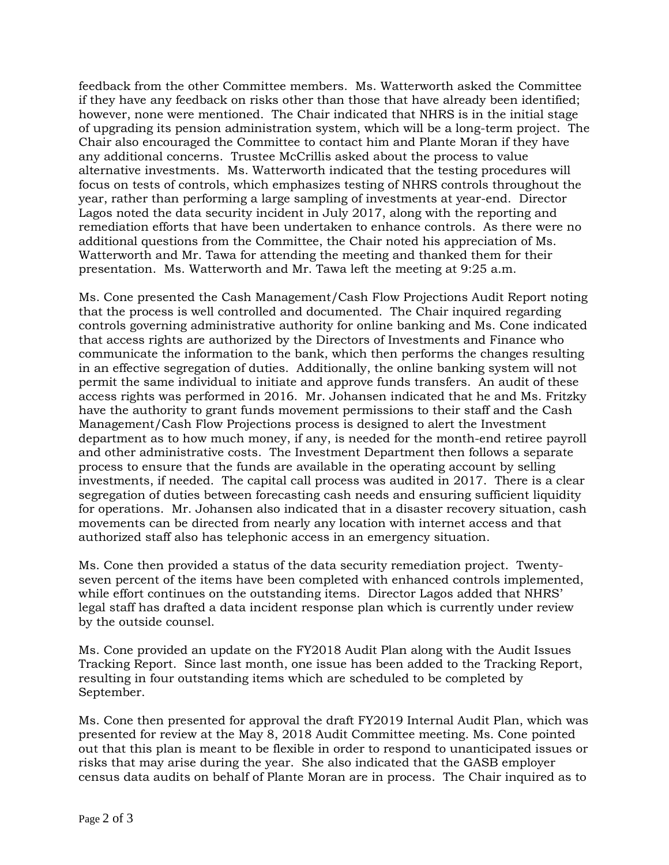feedback from the other Committee members. Ms. Watterworth asked the Committee if they have any feedback on risks other than those that have already been identified; however, none were mentioned. The Chair indicated that NHRS is in the initial stage of upgrading its pension administration system, which will be a long-term project. The Chair also encouraged the Committee to contact him and Plante Moran if they have any additional concerns. Trustee McCrillis asked about the process to value alternative investments. Ms. Watterworth indicated that the testing procedures will focus on tests of controls, which emphasizes testing of NHRS controls throughout the year, rather than performing a large sampling of investments at year-end. Director Lagos noted the data security incident in July 2017, along with the reporting and remediation efforts that have been undertaken to enhance controls. As there were no additional questions from the Committee, the Chair noted his appreciation of Ms. Watterworth and Mr. Tawa for attending the meeting and thanked them for their presentation. Ms. Watterworth and Mr. Tawa left the meeting at 9:25 a.m.

Ms. Cone presented the Cash Management/Cash Flow Projections Audit Report noting that the process is well controlled and documented. The Chair inquired regarding controls governing administrative authority for online banking and Ms. Cone indicated that access rights are authorized by the Directors of Investments and Finance who communicate the information to the bank, which then performs the changes resulting in an effective segregation of duties. Additionally, the online banking system will not permit the same individual to initiate and approve funds transfers. An audit of these access rights was performed in 2016. Mr. Johansen indicated that he and Ms. Fritzky have the authority to grant funds movement permissions to their staff and the Cash Management/Cash Flow Projections process is designed to alert the Investment department as to how much money, if any, is needed for the month-end retiree payroll and other administrative costs. The Investment Department then follows a separate process to ensure that the funds are available in the operating account by selling investments, if needed. The capital call process was audited in 2017. There is a clear segregation of duties between forecasting cash needs and ensuring sufficient liquidity for operations. Mr. Johansen also indicated that in a disaster recovery situation, cash movements can be directed from nearly any location with internet access and that authorized staff also has telephonic access in an emergency situation.

Ms. Cone then provided a status of the data security remediation project. Twentyseven percent of the items have been completed with enhanced controls implemented, while effort continues on the outstanding items. Director Lagos added that NHRS' legal staff has drafted a data incident response plan which is currently under review by the outside counsel.

Ms. Cone provided an update on the FY2018 Audit Plan along with the Audit Issues Tracking Report. Since last month, one issue has been added to the Tracking Report, resulting in four outstanding items which are scheduled to be completed by September.

Ms. Cone then presented for approval the draft FY2019 Internal Audit Plan, which was presented for review at the May 8, 2018 Audit Committee meeting. Ms. Cone pointed out that this plan is meant to be flexible in order to respond to unanticipated issues or risks that may arise during the year. She also indicated that the GASB employer census data audits on behalf of Plante Moran are in process. The Chair inquired as to